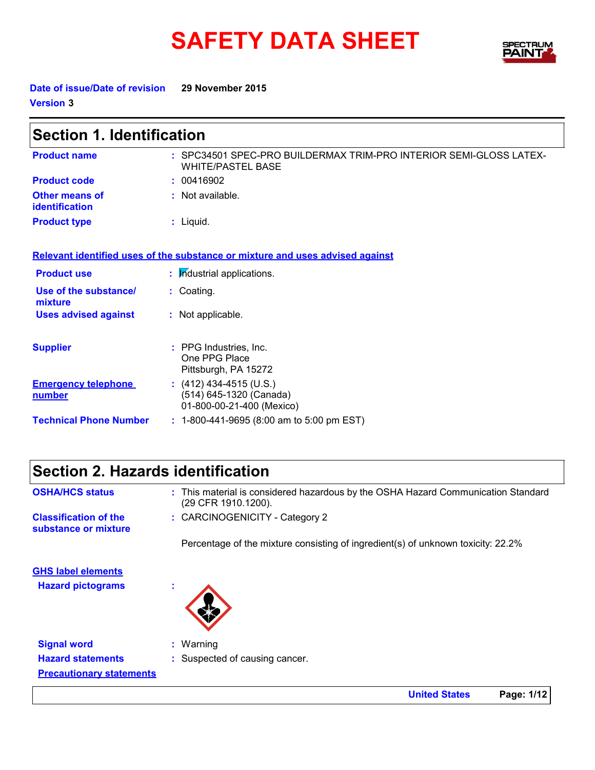# **SAFETY DATA SHEET**



**United States Page: 1/12**

**Date of issue/Date of revision 29 November 2015 Version 3**

 $\mathbf{r}$ 

| <b>Section 1. Identification</b>        |                                                                                                |  |  |
|-----------------------------------------|------------------------------------------------------------------------------------------------|--|--|
| <b>Product name</b>                     | : SPC34501 SPEC-PRO BUILDERMAX TRIM-PRO INTERIOR SEMI-GLOSS LATEX-<br><b>WHITE/PASTEL BASE</b> |  |  |
| <b>Product code</b>                     | : 00416902                                                                                     |  |  |
| <b>Other means of</b><br>identification | : Not available.                                                                               |  |  |
| <b>Product type</b>                     | : Liquid.                                                                                      |  |  |
|                                         | Relevant identified uses of the substance or mixture and uses advised against                  |  |  |
| <b>Product use</b>                      | : Industrial applications.                                                                     |  |  |
| Use of the substance/<br>mixture        | : Coating.                                                                                     |  |  |
| <b>Uses advised against</b>             | : Not applicable.                                                                              |  |  |
| <b>Supplier</b>                         | : PPG Industries, Inc.<br>One PPG Place<br>Pittsburgh, PA 15272                                |  |  |
| <b>Emergency telephone</b><br>number    | $(412)$ 434-4515 (U.S.)<br>(514) 645-1320 (Canada)<br>01-800-00-21-400 (Mexico)                |  |  |
| <b>Technical Phone Number</b>           | : 1-800-441-9695 (8:00 am to 5:00 pm EST)                                                      |  |  |
|                                         |                                                                                                |  |  |

# **Section 2. Hazards identification**

| <b>OSHA/HCS status</b>                               | : This material is considered hazardous by the OSHA Hazard Communication Standard<br>(29 CFR 1910.1200). |
|------------------------------------------------------|----------------------------------------------------------------------------------------------------------|
| <b>Classification of the</b><br>substance or mixture | : CARCINOGENICITY - Category 2                                                                           |
|                                                      | Percentage of the mixture consisting of ingredient(s) of unknown toxicity: 22.2%                         |
| <b>GHS label elements</b>                            |                                                                                                          |
| <b>Hazard pictograms</b>                             |                                                                                                          |
|                                                      |                                                                                                          |
| <b>Signal word</b>                                   | : Warning                                                                                                |
| <b>Hazard statements</b>                             | : Suspected of causing cancer.                                                                           |
| <b>Precautionary statements</b>                      |                                                                                                          |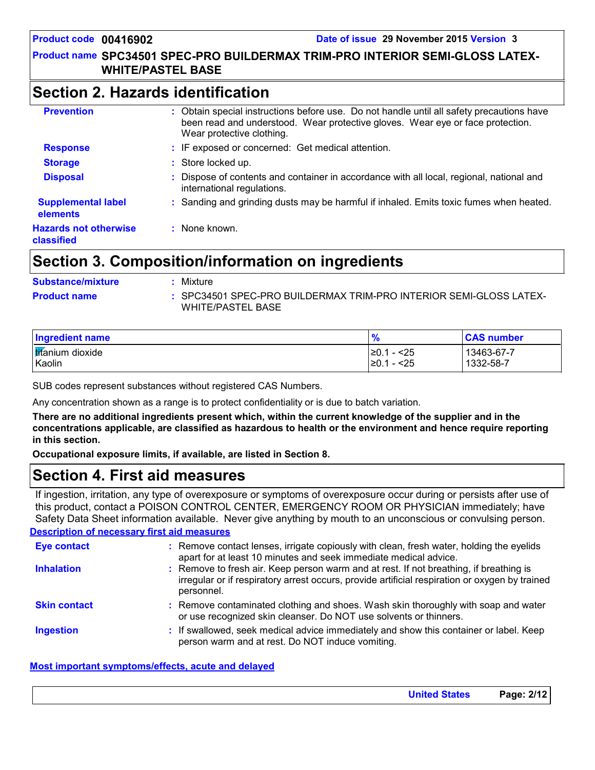#### **Product name SPC34501 SPEC-PRO BUILDERMAX TRIM-PRO INTERIOR SEMI-GLOSS LATEX-WHITE/PASTEL BASE**

### **Section 2. Hazards identification**

| <b>Prevention</b>                          | : Obtain special instructions before use. Do not handle until all safety precautions have<br>been read and understood. Wear protective gloves. Wear eye or face protection.<br>Wear protective clothing. |
|--------------------------------------------|----------------------------------------------------------------------------------------------------------------------------------------------------------------------------------------------------------|
| <b>Response</b>                            | : IF exposed or concerned: Get medical attention.                                                                                                                                                        |
| <b>Storage</b>                             | : Store locked up.                                                                                                                                                                                       |
| <b>Disposal</b>                            | Dispose of contents and container in accordance with all local, regional, national and<br>international regulations.                                                                                     |
| <b>Supplemental label</b><br>elements      | : Sanding and grinding dusts may be harmful if inhaled. Emits toxic fumes when heated.                                                                                                                   |
| <b>Hazards not otherwise</b><br>classified | None known.                                                                                                                                                                                              |

# **Section 3. Composition/information on ingredients**

| <b>Substance/mixture</b> | Mixture                                                                                        |
|--------------------------|------------------------------------------------------------------------------------------------|
| <b>Product name</b>      | : SPC34501 SPEC-PRO BUILDERMAX TRIM-PRO INTERIOR SEMI-GLOSS LATEX-<br><b>WHITE/PASTEL BASE</b> |

| <b>Ingredient name</b>  | %             | <b>CAS number</b> |
|-------------------------|---------------|-------------------|
| <b>Iffanium</b> dioxide | - <25<br>≥0.1 | 13463-67-7        |
| Kaolin                  | ≥0.1<br>- <25 | 1332-58-7         |

SUB codes represent substances without registered CAS Numbers.

Any concentration shown as a range is to protect confidentiality or is due to batch variation.

**There are no additional ingredients present which, within the current knowledge of the supplier and in the concentrations applicable, are classified as hazardous to health or the environment and hence require reporting in this section.**

**Occupational exposure limits, if available, are listed in Section 8.**

# **Section 4. First aid measures**

If ingestion, irritation, any type of overexposure or symptoms of overexposure occur during or persists after use of this product, contact a POISON CONTROL CENTER, EMERGENCY ROOM OR PHYSICIAN immediately; have Safety Data Sheet information available. Never give anything by mouth to an unconscious or convulsing person.

#### **Description of necessary first aid measures**

| <b>Eye contact</b>  | : Remove contact lenses, irrigate copiously with clean, fresh water, holding the eyelids<br>apart for at least 10 minutes and seek immediate medical advice.                                           |  |
|---------------------|--------------------------------------------------------------------------------------------------------------------------------------------------------------------------------------------------------|--|
| <b>Inhalation</b>   | : Remove to fresh air. Keep person warm and at rest. If not breathing, if breathing is<br>irregular or if respiratory arrest occurs, provide artificial respiration or oxygen by trained<br>personnel. |  |
| <b>Skin contact</b> | : Remove contaminated clothing and shoes. Wash skin thoroughly with soap and water<br>or use recognized skin cleanser. Do NOT use solvents or thinners.                                                |  |
| <b>Ingestion</b>    | : If swallowed, seek medical advice immediately and show this container or label. Keep<br>person warm and at rest. Do NOT induce vomiting.                                                             |  |

#### **Most important symptoms/effects, acute and delayed**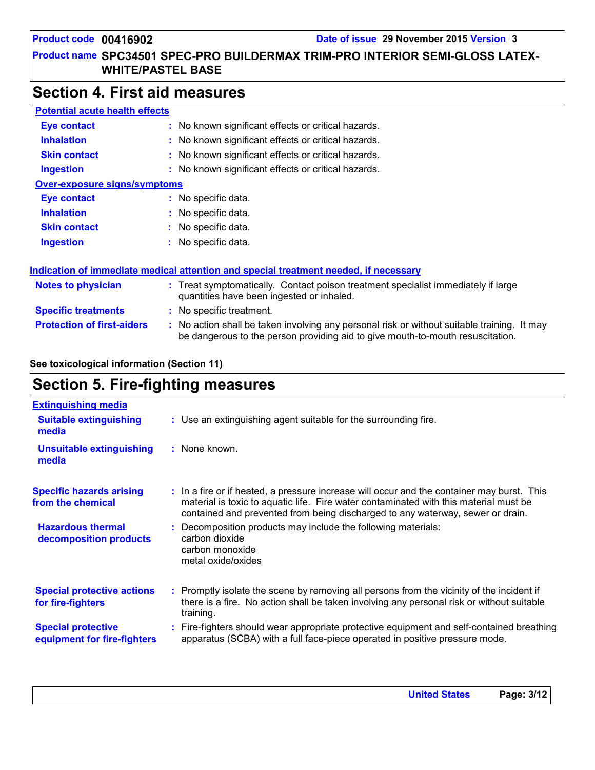#### **Product name SPC34501 SPEC-PRO BUILDERMAX TRIM-PRO INTERIOR SEMI-GLOSS LATEX-WHITE/PASTEL BASE**

# **Section 4. First aid measures**

| <b>Potential acute health effects</b> |                                                                                                                                                                               |  |
|---------------------------------------|-------------------------------------------------------------------------------------------------------------------------------------------------------------------------------|--|
| Eye contact                           | : No known significant effects or critical hazards.                                                                                                                           |  |
| <b>Inhalation</b>                     | : No known significant effects or critical hazards.                                                                                                                           |  |
| <b>Skin contact</b>                   | : No known significant effects or critical hazards.                                                                                                                           |  |
| <b>Ingestion</b>                      | : No known significant effects or critical hazards.                                                                                                                           |  |
| <b>Over-exposure signs/symptoms</b>   |                                                                                                                                                                               |  |
| Eye contact                           | : No specific data.                                                                                                                                                           |  |
| <b>Inhalation</b>                     | : No specific data.                                                                                                                                                           |  |
| <b>Skin contact</b>                   | : No specific data.                                                                                                                                                           |  |
| <b>Ingestion</b>                      | : No specific data.                                                                                                                                                           |  |
|                                       | Indication of immediate medical attention and special treatment needed, if necessary                                                                                          |  |
| <b>Notes to physician</b>             | : Treat symptomatically. Contact poison treatment specialist immediately if large<br>quantities have been ingested or inhaled.                                                |  |
| <b>Specific treatments</b>            | : No specific treatment.                                                                                                                                                      |  |
| <b>Protection of first-aiders</b>     | : No action shall be taken involving any personal risk or without suitable training. It may<br>be dangerous to the person providing aid to give mouth-to-mouth resuscitation. |  |

#### **See toxicological information (Section 11)**

# **Section 5. Fire-fighting measures**

| <b>Extinguishing media</b>                               |                                                                                                                                                                                                                                                                       |
|----------------------------------------------------------|-----------------------------------------------------------------------------------------------------------------------------------------------------------------------------------------------------------------------------------------------------------------------|
| <b>Suitable extinguishing</b><br>media                   | : Use an extinguishing agent suitable for the surrounding fire.                                                                                                                                                                                                       |
| <b>Unsuitable extinguishing</b><br>media                 | : None known.                                                                                                                                                                                                                                                         |
| <b>Specific hazards arising</b><br>from the chemical     | : In a fire or if heated, a pressure increase will occur and the container may burst. This<br>material is toxic to aquatic life. Fire water contaminated with this material must be<br>contained and prevented from being discharged to any waterway, sewer or drain. |
| <b>Hazardous thermal</b><br>decomposition products       | : Decomposition products may include the following materials:<br>carbon dioxide<br>carbon monoxide<br>metal oxide/oxides                                                                                                                                              |
| <b>Special protective actions</b><br>for fire-fighters   | : Promptly isolate the scene by removing all persons from the vicinity of the incident if<br>there is a fire. No action shall be taken involving any personal risk or without suitable<br>training.                                                                   |
| <b>Special protective</b><br>equipment for fire-fighters | Fire-fighters should wear appropriate protective equipment and self-contained breathing<br>apparatus (SCBA) with a full face-piece operated in positive pressure mode.                                                                                                |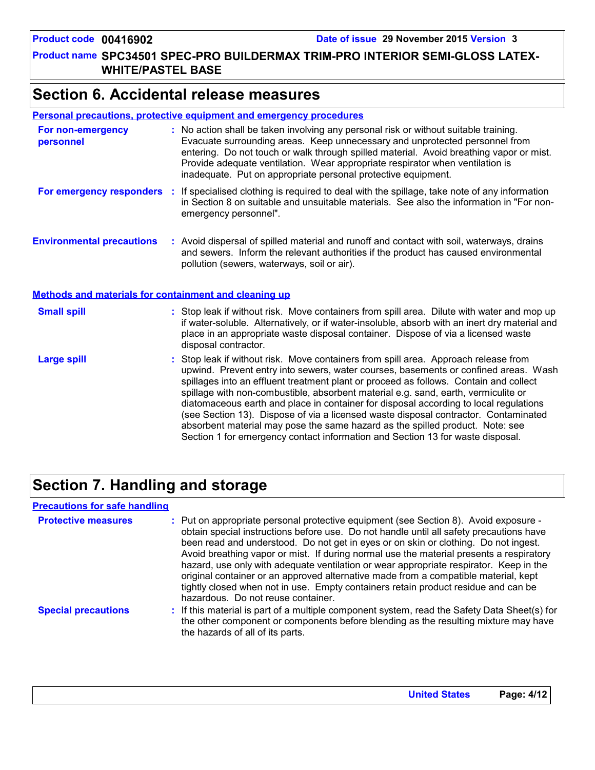#### **Product name SPC34501 SPEC-PRO BUILDERMAX TRIM-PRO INTERIOR SEMI-GLOSS LATEX-WHITE/PASTEL BASE**

# **Section 6. Accidental release measures**

#### **Personal precautions, protective equipment and emergency procedures**

| For non-emergency<br>personnel                               | : No action shall be taken involving any personal risk or without suitable training.<br>Evacuate surrounding areas. Keep unnecessary and unprotected personnel from<br>entering. Do not touch or walk through spilled material. Avoid breathing vapor or mist.<br>Provide adequate ventilation. Wear appropriate respirator when ventilation is<br>inadequate. Put on appropriate personal protective equipment.                                                                                                                                                                                                           |
|--------------------------------------------------------------|----------------------------------------------------------------------------------------------------------------------------------------------------------------------------------------------------------------------------------------------------------------------------------------------------------------------------------------------------------------------------------------------------------------------------------------------------------------------------------------------------------------------------------------------------------------------------------------------------------------------------|
|                                                              | For emergency responders : If specialised clothing is required to deal with the spillage, take note of any information<br>in Section 8 on suitable and unsuitable materials. See also the information in "For non-<br>emergency personnel".                                                                                                                                                                                                                                                                                                                                                                                |
| <b>Environmental precautions</b>                             | : Avoid dispersal of spilled material and runoff and contact with soil, waterways, drains<br>and sewers. Inform the relevant authorities if the product has caused environmental<br>pollution (sewers, waterways, soil or air).                                                                                                                                                                                                                                                                                                                                                                                            |
| <b>Methods and materials for containment and cleaning up</b> |                                                                                                                                                                                                                                                                                                                                                                                                                                                                                                                                                                                                                            |
| <b>Small spill</b>                                           | : Stop leak if without risk. Move containers from spill area. Dilute with water and mop up<br>if water-soluble. Alternatively, or if water-insoluble, absorb with an inert dry material and<br>place in an appropriate waste disposal container. Dispose of via a licensed waste<br>disposal contractor.                                                                                                                                                                                                                                                                                                                   |
| <b>Large spill</b>                                           | : Stop leak if without risk. Move containers from spill area. Approach release from<br>upwind. Prevent entry into sewers, water courses, basements or confined areas. Wash<br>spillages into an effluent treatment plant or proceed as follows. Contain and collect<br>spillage with non-combustible, absorbent material e.g. sand, earth, vermiculite or<br>diatomaceous earth and place in container for disposal according to local regulations<br>(see Section 13). Dispose of via a licensed waste disposal contractor. Contaminated<br>absorbent material may pose the same hazard as the spilled product. Note: see |

# **Section 7. Handling and storage**

#### **Precautions for safe handling**

| <b>Protective measures</b> | : Put on appropriate personal protective equipment (see Section 8). Avoid exposure -<br>obtain special instructions before use. Do not handle until all safety precautions have<br>been read and understood. Do not get in eyes or on skin or clothing. Do not ingest.<br>Avoid breathing vapor or mist. If during normal use the material presents a respiratory<br>hazard, use only with adequate ventilation or wear appropriate respirator. Keep in the<br>original container or an approved alternative made from a compatible material, kept<br>tightly closed when not in use. Empty containers retain product residue and can be<br>hazardous. Do not reuse container. |
|----------------------------|--------------------------------------------------------------------------------------------------------------------------------------------------------------------------------------------------------------------------------------------------------------------------------------------------------------------------------------------------------------------------------------------------------------------------------------------------------------------------------------------------------------------------------------------------------------------------------------------------------------------------------------------------------------------------------|
| <b>Special precautions</b> | : If this material is part of a multiple component system, read the Safety Data Sheet(s) for<br>the other component or components before blending as the resulting mixture may have<br>the hazards of all of its parts.                                                                                                                                                                                                                                                                                                                                                                                                                                                        |

Section 1 for emergency contact information and Section 13 for waste disposal.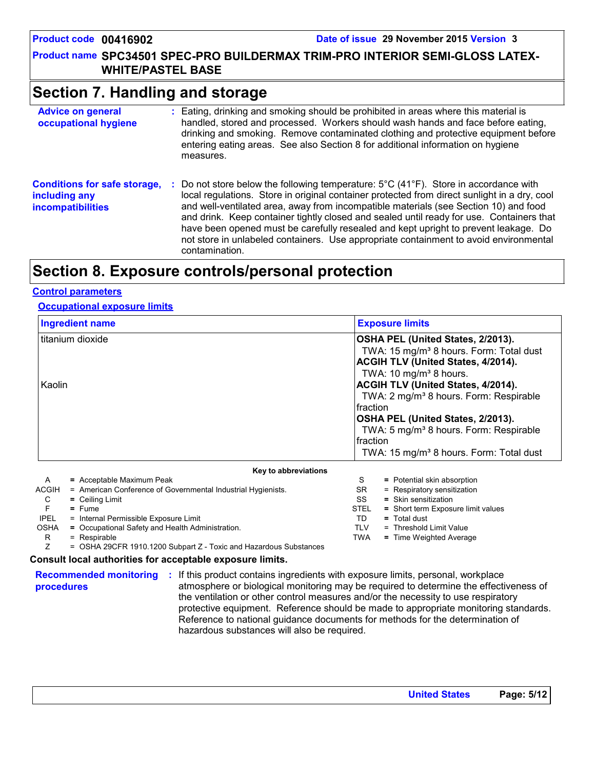#### **Product name SPC34501 SPEC-PRO BUILDERMAX TRIM-PRO INTERIOR SEMI-GLOSS LATEX-WHITE/PASTEL BASE**

# **Section 7. Handling and storage**

| <b>Advice on general</b><br>occupational hygiene                                 | : Eating, drinking and smoking should be prohibited in areas where this material is<br>handled, stored and processed. Workers should wash hands and face before eating,<br>drinking and smoking. Remove contaminated clothing and protective equipment before<br>entering eating areas. See also Section 8 for additional information on hygiene<br>measures.                                                                                                                                                                                                                                   |
|----------------------------------------------------------------------------------|-------------------------------------------------------------------------------------------------------------------------------------------------------------------------------------------------------------------------------------------------------------------------------------------------------------------------------------------------------------------------------------------------------------------------------------------------------------------------------------------------------------------------------------------------------------------------------------------------|
| <b>Conditions for safe storage,</b><br>including any<br><b>incompatibilities</b> | Do not store below the following temperature: $5^{\circ}$ C (41 <sup>o</sup> F). Store in accordance with<br>local regulations. Store in original container protected from direct sunlight in a dry, cool<br>and well-ventilated area, away from incompatible materials (see Section 10) and food<br>and drink. Keep container tightly closed and sealed until ready for use. Containers that<br>have been opened must be carefully resealed and kept upright to prevent leakage. Do<br>not store in unlabeled containers. Use appropriate containment to avoid environmental<br>contamination. |

# **Section 8. Exposure controls/personal protection**

#### **Control parameters**

#### **Occupational exposure limits**

| <b>Ingredient name</b>     |                                                              | <b>Exposure limits</b>                                                                                                                                                                                                                                                                                                                                                                                                                                           |                                    |  |
|----------------------------|--------------------------------------------------------------|------------------------------------------------------------------------------------------------------------------------------------------------------------------------------------------------------------------------------------------------------------------------------------------------------------------------------------------------------------------------------------------------------------------------------------------------------------------|------------------------------------|--|
| titanium dioxide<br>Kaolin |                                                              | OSHA PEL (United States, 2/2013).<br>TWA: 15 mg/m <sup>3</sup> 8 hours. Form: Total dust<br><b>ACGIH TLV (United States, 4/2014).</b><br>TWA: 10 mg/m <sup>3</sup> 8 hours.<br>ACGIH TLV (United States, 4/2014).<br>TWA: 2 mg/m <sup>3</sup> 8 hours. Form: Respirable<br><b>Ifraction</b><br>OSHA PEL (United States, 2/2013).<br>TWA: 5 mg/m <sup>3</sup> 8 hours. Form: Respirable<br><b>fraction</b><br>TWA: 15 mg/m <sup>3</sup> 8 hours. Form: Total dust |                                    |  |
|                            | Key to abbreviations                                         |                                                                                                                                                                                                                                                                                                                                                                                                                                                                  |                                    |  |
| $\mathsf{A}$               | = Acceptable Maximum Peak                                    | S                                                                                                                                                                                                                                                                                                                                                                                                                                                                | = Potential skin absorption        |  |
| <b>ACGIH</b>               | = American Conference of Governmental Industrial Hygienists. | SR                                                                                                                                                                                                                                                                                                                                                                                                                                                               | = Respiratory sensitization        |  |
| C                          | $=$ Ceiling Limit                                            | SS<br><b>STEL</b>                                                                                                                                                                                                                                                                                                                                                                                                                                                | = Skin sensitization               |  |
| $=$ Fume                   |                                                              |                                                                                                                                                                                                                                                                                                                                                                                                                                                                  | = Short term Exposure limit values |  |
| <b>IPEL</b>                | = Internal Permissible Exposure Limit                        | TD                                                                                                                                                                                                                                                                                                                                                                                                                                                               | $=$ Total dust                     |  |
| <b>OSHA</b>                | = Occupational Safety and Health Administration.             | TLV                                                                                                                                                                                                                                                                                                                                                                                                                                                              | = Threshold Limit Value            |  |

R = Respirable

Z = OSHA 29CFR 1910.1200 Subpart Z - Toxic and Hazardous Substances

#### **Consult local authorities for acceptable exposure limits.**

**procedures**

**Recommended monitoring :** If this product contains ingredients with exposure limits, personal, workplace atmosphere or biological monitoring may be required to determine the effectiveness of the ventilation or other control measures and/or the necessity to use respiratory protective equipment. Reference should be made to appropriate monitoring standards. Reference to national guidance documents for methods for the determination of hazardous substances will also be required.

TWA **=** Time Weighted Average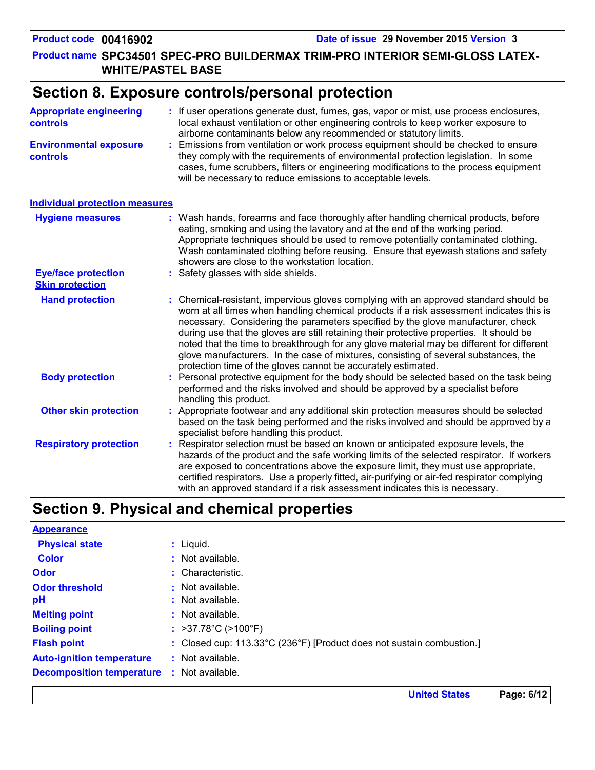**United States Page: 6/12**

**Product name SPC34501 SPEC-PRO BUILDERMAX TRIM-PRO INTERIOR SEMI-GLOSS LATEX-WHITE/PASTEL BASE**

# **Section 8. Exposure controls/personal protection**

| <b>Appropriate engineering</b><br><b>controls</b>    | : If user operations generate dust, fumes, gas, vapor or mist, use process enclosures,<br>local exhaust ventilation or other engineering controls to keep worker exposure to<br>airborne contaminants below any recommended or statutory limits.                                                                                                                                                                                                                                                                                                                                                                     |
|------------------------------------------------------|----------------------------------------------------------------------------------------------------------------------------------------------------------------------------------------------------------------------------------------------------------------------------------------------------------------------------------------------------------------------------------------------------------------------------------------------------------------------------------------------------------------------------------------------------------------------------------------------------------------------|
| <b>Environmental exposure</b><br><b>controls</b>     | Emissions from ventilation or work process equipment should be checked to ensure<br>they comply with the requirements of environmental protection legislation. In some<br>cases, fume scrubbers, filters or engineering modifications to the process equipment<br>will be necessary to reduce emissions to acceptable levels.                                                                                                                                                                                                                                                                                        |
| <b>Individual protection measures</b>                |                                                                                                                                                                                                                                                                                                                                                                                                                                                                                                                                                                                                                      |
| <b>Hygiene measures</b>                              | : Wash hands, forearms and face thoroughly after handling chemical products, before<br>eating, smoking and using the lavatory and at the end of the working period.<br>Appropriate techniques should be used to remove potentially contaminated clothing.<br>Wash contaminated clothing before reusing. Ensure that eyewash stations and safety<br>showers are close to the workstation location.                                                                                                                                                                                                                    |
| <b>Eye/face protection</b><br><b>Skin protection</b> | : Safety glasses with side shields.                                                                                                                                                                                                                                                                                                                                                                                                                                                                                                                                                                                  |
| <b>Hand protection</b>                               | Chemical-resistant, impervious gloves complying with an approved standard should be<br>worn at all times when handling chemical products if a risk assessment indicates this is<br>necessary. Considering the parameters specified by the glove manufacturer, check<br>during use that the gloves are still retaining their protective properties. It should be<br>noted that the time to breakthrough for any glove material may be different for different<br>glove manufacturers. In the case of mixtures, consisting of several substances, the<br>protection time of the gloves cannot be accurately estimated. |
| <b>Body protection</b>                               | Personal protective equipment for the body should be selected based on the task being<br>performed and the risks involved and should be approved by a specialist before<br>handling this product.                                                                                                                                                                                                                                                                                                                                                                                                                    |
| <b>Other skin protection</b>                         | Appropriate footwear and any additional skin protection measures should be selected<br>based on the task being performed and the risks involved and should be approved by a<br>specialist before handling this product.                                                                                                                                                                                                                                                                                                                                                                                              |
| <b>Respiratory protection</b>                        | Respirator selection must be based on known or anticipated exposure levels, the<br>hazards of the product and the safe working limits of the selected respirator. If workers<br>are exposed to concentrations above the exposure limit, they must use appropriate,<br>certified respirators. Use a properly fitted, air-purifying or air-fed respirator complying<br>with an approved standard if a risk assessment indicates this is necessary.                                                                                                                                                                     |

# **Section 9. Physical and chemical properties**

| <b>Appearance</b>                                 |                                                                       |
|---------------------------------------------------|-----------------------------------------------------------------------|
| <b>Physical state</b>                             | $:$ Liquid.                                                           |
| <b>Color</b>                                      | $:$ Not available.                                                    |
| <b>Odor</b>                                       | : Characteristic.                                                     |
| <b>Odor threshold</b>                             | $:$ Not available.                                                    |
| рH                                                | : Not available.                                                      |
| <b>Melting point</b>                              | $:$ Not available.                                                    |
| <b>Boiling point</b>                              | : $>37.78^{\circ}C$ ( $>100^{\circ}F$ )                               |
| <b>Flash point</b>                                | : Closed cup: 113.33°C (236°F) [Product does not sustain combustion.] |
| <b>Auto-ignition temperature</b>                  | $:$ Not available.                                                    |
| <b>Decomposition temperature : Not available.</b> |                                                                       |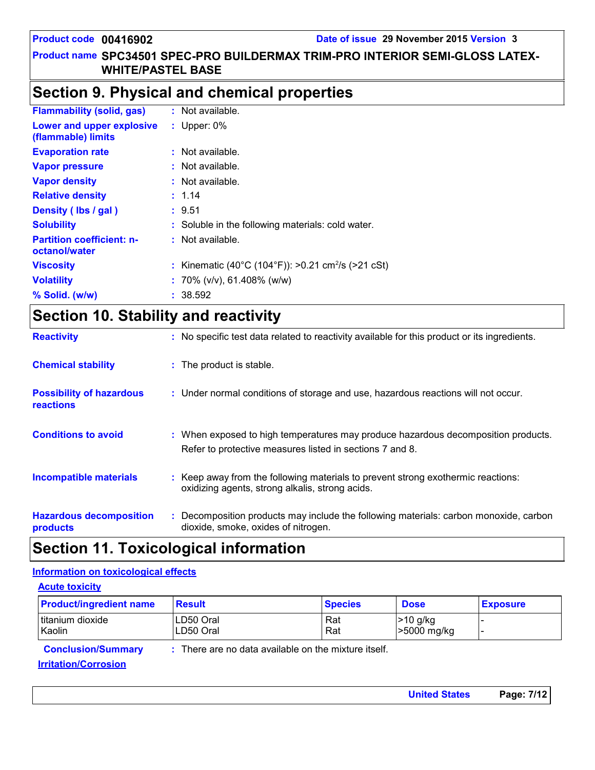#### **Product name SPC34501 SPEC-PRO BUILDERMAX TRIM-PRO INTERIOR SEMI-GLOSS LATEX-WHITE/PASTEL BASE**

### **Section 9. Physical and chemical properties**

| <b>Flammability (solid, gas)</b>                  | : Not available.                                               |
|---------------------------------------------------|----------------------------------------------------------------|
| Lower and upper explosive<br>(flammable) limits   | : Upper: $0\%$                                                 |
| <b>Evaporation rate</b>                           | : Not available.                                               |
| <b>Vapor pressure</b>                             | : Not available.                                               |
| <b>Vapor density</b>                              | : Not available.                                               |
| <b>Relative density</b>                           | : 1.14                                                         |
| Density (Ibs / gal)                               | : 9.51                                                         |
| <b>Solubility</b>                                 | : Soluble in the following materials: cold water.              |
| <b>Partition coefficient: n-</b><br>octanol/water | $:$ Not available.                                             |
| <b>Viscosity</b>                                  | : Kinematic (40°C (104°F)): >0.21 cm <sup>2</sup> /s (>21 cSt) |
| <b>Volatility</b>                                 | : 70% ( $v/v$ ), 61.408% ( $w/w$ )                             |
| % Solid. (w/w)                                    | : 38.592                                                       |
|                                                   |                                                                |

# **Section 10. Stability and reactivity**

| <b>Reactivity</b>                            | : No specific test data related to reactivity available for this product or its ingredients.                                                  |
|----------------------------------------------|-----------------------------------------------------------------------------------------------------------------------------------------------|
| <b>Chemical stability</b>                    | : The product is stable.                                                                                                                      |
| <b>Possibility of hazardous</b><br>reactions | : Under normal conditions of storage and use, hazardous reactions will not occur.                                                             |
| <b>Conditions to avoid</b>                   | : When exposed to high temperatures may produce hazardous decomposition products.<br>Refer to protective measures listed in sections 7 and 8. |
| <b>Incompatible materials</b>                | : Keep away from the following materials to prevent strong exothermic reactions:<br>oxidizing agents, strong alkalis, strong acids.           |
| <b>Hazardous decomposition</b><br>products   | Decomposition products may include the following materials: carbon monoxide, carbon<br>dioxide, smoke, oxides of nitrogen.                    |

# **Section 11. Toxicological information**

#### **Information on toxicological effects**

| <b>Acute toxicity</b>          |                         |                                                      |                           |                 |
|--------------------------------|-------------------------|------------------------------------------------------|---------------------------|-----------------|
| <b>Product/ingredient name</b> | <b>Result</b>           | <b>Species</b>                                       | <b>Dose</b>               | <b>Exposure</b> |
| titanium dioxide<br>Kaolin     | LD50 Oral<br>ILD50 Oral | Rat<br>Rat                                           | $>10$ g/kg<br>>5000 mg/kg |                 |
| <b>Conclusion/Summary</b>      |                         | : There are no data available on the mixture itself. |                           |                 |
| <b>Irritation/Corrosion</b>    |                         |                                                      |                           |                 |

**United States Page: 7/12**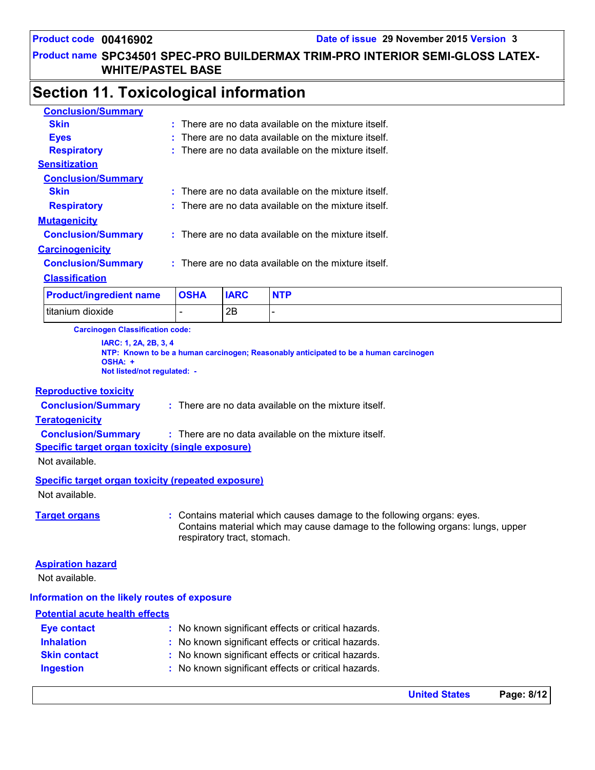#### **Product name SPC34501 SPEC-PRO BUILDERMAX TRIM-PRO INTERIOR SEMI-GLOSS LATEX-WHITE/PASTEL BASE**

# **Section 11. Toxicological information**

| <b>Conclusion/Summary</b>      |             |             |                                                          |
|--------------------------------|-------------|-------------|----------------------------------------------------------|
| <b>Skin</b>                    |             |             | $:$ There are no data available on the mixture itself.   |
| <b>Eyes</b>                    |             |             | There are no data available on the mixture itself.       |
| <b>Respiratory</b>             |             |             | $:$ There are no data available on the mixture itself.   |
| <b>Sensitization</b>           |             |             |                                                          |
| <b>Conclusion/Summary</b>      |             |             |                                                          |
| <b>Skin</b>                    |             |             | $\pm$ There are no data available on the mixture itself. |
| <b>Respiratory</b>             |             |             | $:$ There are no data available on the mixture itself.   |
| <b>Mutagenicity</b>            |             |             |                                                          |
| <b>Conclusion/Summary</b>      |             |             | $:$ There are no data available on the mixture itself.   |
| <b>Carcinogenicity</b>         |             |             |                                                          |
| <b>Conclusion/Summary</b>      |             |             | $:$ There are no data available on the mixture itself.   |
| <b>Classification</b>          |             |             |                                                          |
| <b>Product/ingredient name</b> | <b>OSHA</b> | <b>IARC</b> | <b>NTP</b>                                               |
| titanium dioxide               |             | 2B          |                                                          |

**Carcinogen Classification code:**

**IARC: 1, 2A, 2B, 3, 4 NTP: Known to be a human carcinogen; Reasonably anticipated to be a human carcinogen OSHA: + Not listed/not regulated: -**

#### **Reproductive toxicity**

**Conclusion/Summary :** There are no data available on the mixture itself.

#### **Teratogenicity**

**Conclusion/Summary :** There are no data available on the mixture itself.

#### **Specific target organ toxicity (single exposure)**

Not available.

**Specific target organ toxicity (repeated exposure)**

Not available.

**Target organs :** Contains material which causes damage to the following organs: eyes. Contains material which may cause damage to the following organs: lungs, upper respiratory tract, stomach.

#### **Aspiration hazard**

Not available.

#### **Information on the likely routes of exposure**

#### **Potential acute health effects**

| <b>Eye contact</b>  | : No known significant effects or critical hazards. |
|---------------------|-----------------------------------------------------|
| <b>Inhalation</b>   | : No known significant effects or critical hazards. |
| <b>Skin contact</b> | : No known significant effects or critical hazards. |
| <b>Ingestion</b>    | : No known significant effects or critical hazards. |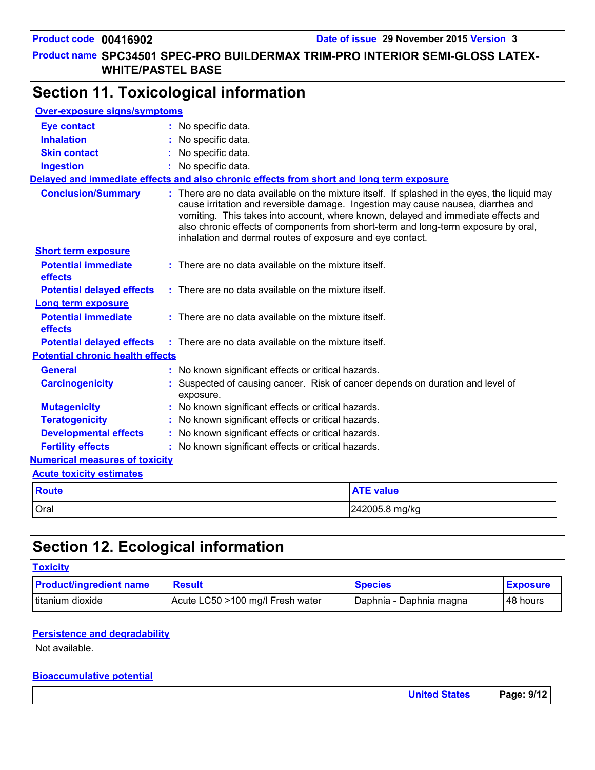#### **Product name SPC34501 SPEC-PRO BUILDERMAX TRIM-PRO INTERIOR SEMI-GLOSS LATEX-WHITE/PASTEL BASE**

# **Section 11. Toxicological information**

| <b>Over-exposure signs/symptoms</b>     |                                                                                           |                                                                                                                                                                                                                                                                                                                                                             |  |  |
|-----------------------------------------|-------------------------------------------------------------------------------------------|-------------------------------------------------------------------------------------------------------------------------------------------------------------------------------------------------------------------------------------------------------------------------------------------------------------------------------------------------------------|--|--|
| <b>Eye contact</b>                      | : No specific data.                                                                       |                                                                                                                                                                                                                                                                                                                                                             |  |  |
| <b>Inhalation</b>                       | No specific data.                                                                         |                                                                                                                                                                                                                                                                                                                                                             |  |  |
| <b>Skin contact</b>                     | No specific data.                                                                         |                                                                                                                                                                                                                                                                                                                                                             |  |  |
| <b>Ingestion</b>                        | : No specific data.                                                                       |                                                                                                                                                                                                                                                                                                                                                             |  |  |
|                                         | Delayed and immediate effects and also chronic effects from short and long term exposure  |                                                                                                                                                                                                                                                                                                                                                             |  |  |
| <b>Conclusion/Summary</b>               | inhalation and dermal routes of exposure and eye contact.                                 | : There are no data available on the mixture itself. If splashed in the eyes, the liquid may<br>cause irritation and reversible damage. Ingestion may cause nausea, diarrhea and<br>vomiting. This takes into account, where known, delayed and immediate effects and<br>also chronic effects of components from short-term and long-term exposure by oral, |  |  |
| <b>Short term exposure</b>              |                                                                                           |                                                                                                                                                                                                                                                                                                                                                             |  |  |
| <b>Potential immediate</b><br>effects   | $:$ There are no data available on the mixture itself.                                    |                                                                                                                                                                                                                                                                                                                                                             |  |  |
| <b>Potential delayed effects</b>        | : There are no data available on the mixture itself.                                      |                                                                                                                                                                                                                                                                                                                                                             |  |  |
| Long term exposure                      |                                                                                           |                                                                                                                                                                                                                                                                                                                                                             |  |  |
| <b>Potential immediate</b><br>effects   | $:$ There are no data available on the mixture itself.                                    |                                                                                                                                                                                                                                                                                                                                                             |  |  |
| <b>Potential delayed effects</b>        | : There are no data available on the mixture itself.                                      |                                                                                                                                                                                                                                                                                                                                                             |  |  |
| <b>Potential chronic health effects</b> |                                                                                           |                                                                                                                                                                                                                                                                                                                                                             |  |  |
| <b>General</b>                          | : No known significant effects or critical hazards.                                       |                                                                                                                                                                                                                                                                                                                                                             |  |  |
| <b>Carcinogenicity</b>                  | Suspected of causing cancer. Risk of cancer depends on duration and level of<br>exposure. |                                                                                                                                                                                                                                                                                                                                                             |  |  |
| <b>Mutagenicity</b>                     | No known significant effects or critical hazards.                                         |                                                                                                                                                                                                                                                                                                                                                             |  |  |
| <b>Teratogenicity</b>                   | No known significant effects or critical hazards.                                         |                                                                                                                                                                                                                                                                                                                                                             |  |  |
| <b>Developmental effects</b>            |                                                                                           | No known significant effects or critical hazards.                                                                                                                                                                                                                                                                                                           |  |  |
| <b>Fertility effects</b>                | : No known significant effects or critical hazards.                                       |                                                                                                                                                                                                                                                                                                                                                             |  |  |
| <b>Numerical measures of toxicity</b>   |                                                                                           |                                                                                                                                                                                                                                                                                                                                                             |  |  |
| <b>Acute toxicity estimates</b>         |                                                                                           |                                                                                                                                                                                                                                                                                                                                                             |  |  |
| <b>Route</b>                            |                                                                                           | <b>ATE value</b>                                                                                                                                                                                                                                                                                                                                            |  |  |
| Oral                                    |                                                                                           | 242005.8 mg/kg                                                                                                                                                                                                                                                                                                                                              |  |  |

# **Section 12. Ecological information**

#### **Toxicity**

| <b>Product/ingredient name</b> | <b>Result</b>                    | <b>Species</b>            | <b>Exposure</b> |
|--------------------------------|----------------------------------|---------------------------|-----------------|
| Ititanium dioxide              | Acute LC50 >100 mg/l Fresh water | I Daphnia - Daphnia magna | 48 hours        |

#### **Persistence and degradability**

Not available.

#### **Bioaccumulative potential**

| <b>United States</b> | Page: 9/12 |
|----------------------|------------|
|                      |            |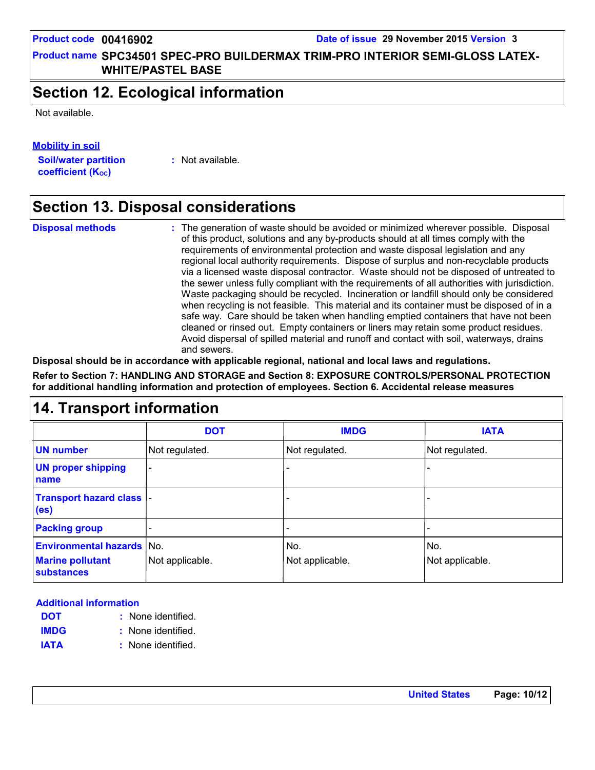#### **Product name SPC34501 SPEC-PRO BUILDERMAX TRIM-PRO INTERIOR SEMI-GLOSS LATEX-WHITE/PASTEL BASE**

## **Section 12. Ecological information**

Not available.

**Mobility in soil**

**Soil/water partition coefficient (K**<sub>oc</sub>)

**:** Not available.

# **Section 13. Disposal considerations**

**Disposal methods :**

The generation of waste should be avoided or minimized wherever possible. Disposal of this product, solutions and any by-products should at all times comply with the requirements of environmental protection and waste disposal legislation and any regional local authority requirements. Dispose of surplus and non-recyclable products via a licensed waste disposal contractor. Waste should not be disposed of untreated to the sewer unless fully compliant with the requirements of all authorities with jurisdiction. Waste packaging should be recycled. Incineration or landfill should only be considered when recycling is not feasible. This material and its container must be disposed of in a safe way. Care should be taken when handling emptied containers that have not been cleaned or rinsed out. Empty containers or liners may retain some product residues. Avoid dispersal of spilled material and runoff and contact with soil, waterways, drains and sewers.

**Disposal should be in accordance with applicable regional, national and local laws and regulations.**

**Refer to Section 7: HANDLING AND STORAGE and Section 8: EXPOSURE CONTROLS/PERSONAL PROTECTION for additional handling information and protection of employees. Section 6. Accidental release measures**

# **14. Transport information**

|                                                       | <b>DOT</b>               | <b>IMDG</b>     | <b>IATA</b>     |
|-------------------------------------------------------|--------------------------|-----------------|-----------------|
| <b>UN number</b>                                      | Not regulated.           | Not regulated.  | Not regulated.  |
| <b>UN proper shipping</b><br>name                     | $\overline{\phantom{0}}$ |                 |                 |
| <b>Transport hazard class  -</b><br>(e <sub>s</sub> ) |                          |                 |                 |
| <b>Packing group</b>                                  |                          |                 |                 |
| <b>Environmental hazards No.</b>                      |                          | No.             | No.             |
| <b>Marine pollutant</b><br><b>substances</b>          | Not applicable.          | Not applicable. | Not applicable. |

#### **Additional information**

- None identified. **: DOT**
- None identified. **: IMDG**
- **IATA :** None identified.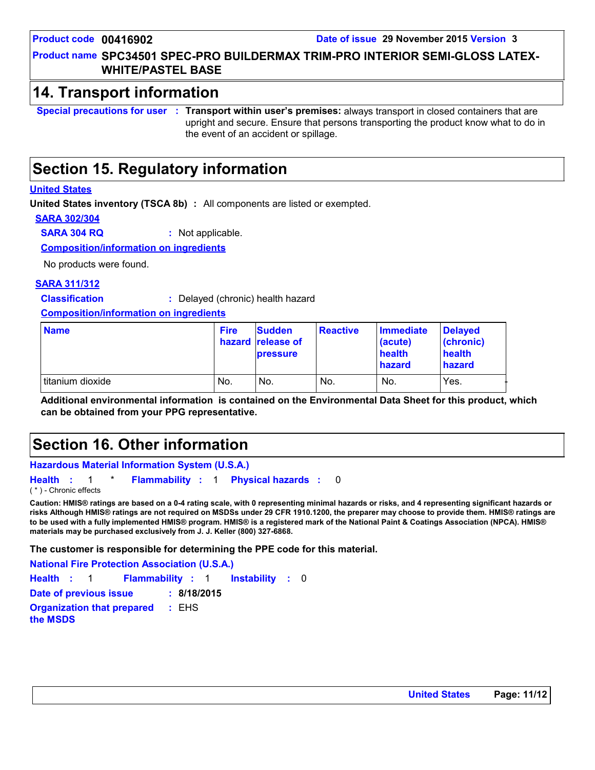#### **Product name SPC34501 SPEC-PRO BUILDERMAX TRIM-PRO INTERIOR SEMI-GLOSS LATEX-WHITE/PASTEL BASE**

### **14. Transport information**

**Special precautions for user Transport within user's premises:** always transport in closed containers that are **:** upright and secure. Ensure that persons transporting the product know what to do in the event of an accident or spillage.

# **Section 15. Regulatory information**

#### **United States**

**United States inventory (TSCA 8b) :** All components are listed or exempted.

**SARA 302/304**

**SARA 304 RQ :** Not applicable.

**Composition/information on ingredients**

No products were found.

#### **SARA 311/312**

**Classification :** Delayed (chronic) health hazard

**Composition/information on ingredients**

| <b>Name</b>      | <b>Fire</b> | <b>Sudden</b><br>hazard release of<br><b>pressure</b> | <b>Reactive</b> | <b>Immediate</b><br>(acute)<br>health<br>hazard | Delayed<br>(chronic)<br>health<br>hazard |
|------------------|-------------|-------------------------------------------------------|-----------------|-------------------------------------------------|------------------------------------------|
| titanium dioxide | No.         | No.                                                   | No.             | No.                                             | Yes.                                     |

**Additional environmental information is contained on the Environmental Data Sheet for this product, which can be obtained from your PPG representative.**

# **Section 16. Other information**

#### **Hazardous Material Information System (U.S.A.)**

**Health** : 1 \* **Flammability** : 1 **Physical hazards** : 0 0 ( \* ) - Chronic effects

**Caution: HMIS® ratings are based on a 0-4 rating scale, with 0 representing minimal hazards or risks, and 4 representing significant hazards or risks Although HMIS® ratings are not required on MSDSs under 29 CFR 1910.1200, the preparer may choose to provide them. HMIS® ratings are to be used with a fully implemented HMIS® program. HMIS® is a registered mark of the National Paint & Coatings Association (NPCA). HMIS® materials may be purchased exclusively from J. J. Keller (800) 327-6868.**

**The customer is responsible for determining the PPE code for this material.**

**National Fire Protection Association (U.S.A.)**

Instability : 0 **Health**: 1 **Flammability**: 1 **Instability**: 0

**Date of previous issue : 8/18/2015 Organization that prepared :** EHS

**the MSDS**